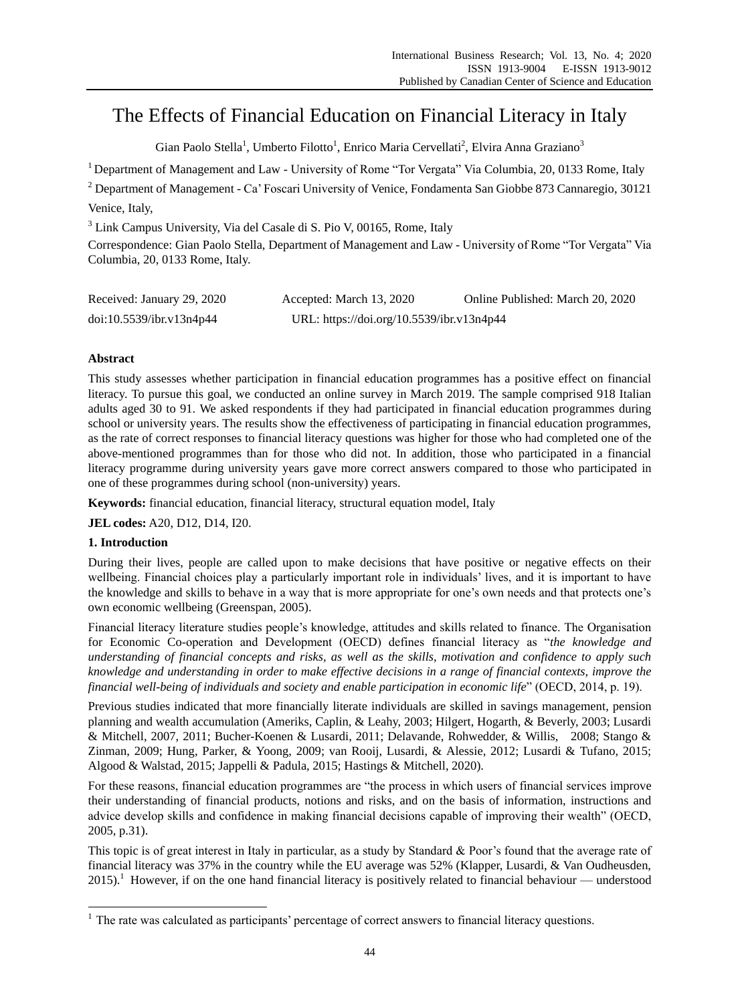# The Effects of Financial Education on Financial Literacy in Italy

Gian Paolo Stella<sup>1</sup>, Umberto Filotto<sup>1</sup>, Enrico Maria Cervellati<sup>2</sup>, Elvira Anna Graziano<sup>3</sup>

<sup>1</sup> Department of Management and Law - University of Rome "Tor Vergata" Via Columbia, 20, 0133 Rome, Italy

<sup>2</sup> Department of Management - Ca' Foscari University of Venice, Fondamenta San Giobbe 873 Cannaregio, 30121 Venice, Italy,

<sup>3</sup> Link Campus University, Via del Casale di S. Pio V, 00165, Rome, Italy

Correspondence: Gian Paolo Stella, Department of Management and Law - University of Rome "Tor Vergata" Via Columbia, 20, 0133 Rome, Italy.

| Received: January 29, 2020 | Accepted: March 13, 2020                  | Online Published: March 20, 2020 |
|----------------------------|-------------------------------------------|----------------------------------|
| doi:10.5539/ibr.v13n4p44   | URL: https://doi.org/10.5539/ibr.v13n4p44 |                                  |

# **Abstract**

This study assesses whether participation in financial education programmes has a positive effect on financial literacy. To pursue this goal, we conducted an online survey in March 2019. The sample comprised 918 Italian adults aged 30 to 91. We asked respondents if they had participated in financial education programmes during school or university years. The results show the effectiveness of participating in financial education programmes, as the rate of correct responses to financial literacy questions was higher for those who had completed one of the above-mentioned programmes than for those who did not. In addition, those who participated in a financial literacy programme during university years gave more correct answers compared to those who participated in one of these programmes during school (non-university) years.

**Keywords:** financial education, financial literacy, structural equation model, Italy

**JEL codes:** A20, D12, D14, I20.

## **1. Introduction**

-

During their lives, people are called upon to make decisions that have positive or negative effects on their wellbeing. Financial choices play a particularly important role in individuals' lives, and it is important to have the knowledge and skills to behave in a way that is more appropriate for one's own needs and that protects one's own economic wellbeing (Greenspan, 2005).

Financial literacy literature studies people's knowledge, attitudes and skills related to finance. The Organisation for Economic Co-operation and Development (OECD) defines financial literacy as "the knowledge and *understanding of financial concepts and risks, as well as the skills, motivation and confidence to apply such knowledge and understanding in order to make effective decisions in a range of financial contexts, improve the financial well-being of individuals and society and enable participation in economic life*" (OECD, 2014, p. 19).

Previous studies indicated that more financially literate individuals are skilled in savings management, pension planning and wealth accumulation (Ameriks, Caplin, & Leahy, 2003; Hilgert, Hogarth, & Beverly, 2003; Lusardi & Mitchell, 2007, 2011; Bucher-Koenen & Lusardi, 2011; Delavande, Rohwedder, & Willis, 2008; Stango & Zinman, 2009; Hung, Parker, & Yoong, 2009; van Rooij, Lusardi, & Alessie, 2012; Lusardi & Tufano, 2015; Algood & Walstad, 2015; Jappelli & Padula, 2015; Hastings & Mitchell, 2020).

For these reasons, financial education programmes are "the process in which users of financial services improve their understanding of financial products, notions and risks, and on the basis of information, instructions and advice develop skills and confidence in making financial decisions capable of improving their wealth" (OECD, 2005, p.31).

This topic is of great interest in Italy in particular, as a study by Standard & Poor's found that the average rate of financial literacy was 37% in the country while the EU average was 52% (Klapper, Lusardi, & Van Oudheusden,  $2015$ .<sup>1</sup> However, if on the one hand financial literacy is positively related to financial behaviour — understood

 $1$  The rate was calculated as participants' percentage of correct answers to financial literacy questions.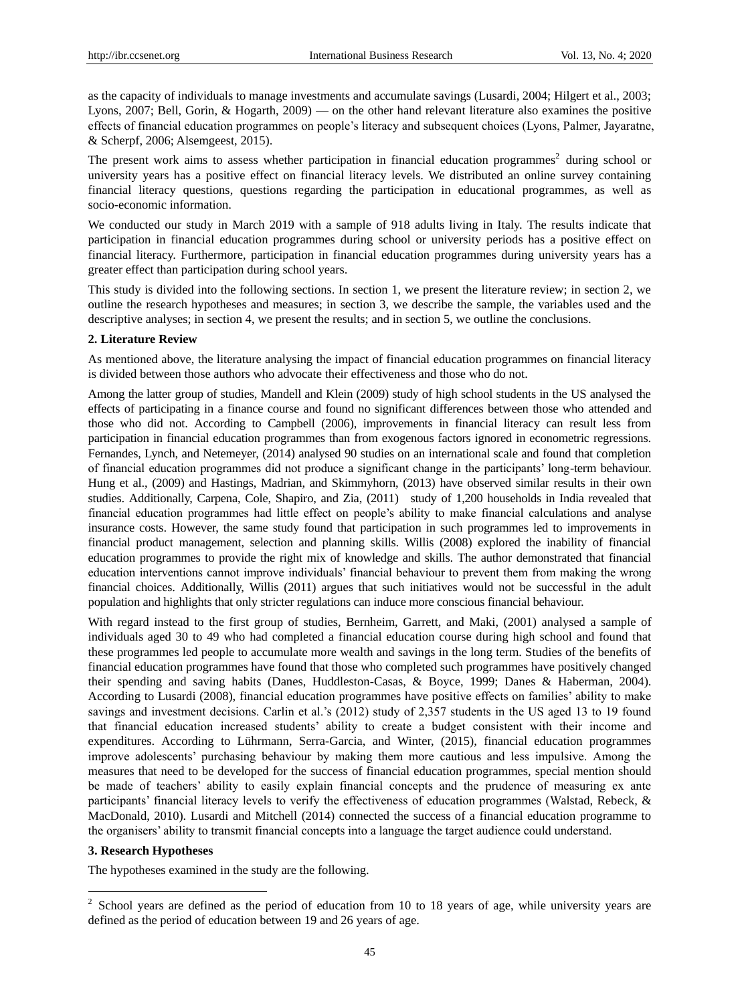as the capacity of individuals to manage investments and accumulate savings (Lusardi, 2004; Hilgert et al., 2003; Lyons, 2007; Bell, Gorin, & Hogarth, 2009) — on the other hand relevant literature also examines the positive effects of financial education programmes on people's literacy and subsequent choices (Lyons, Palmer, Jayaratne, & Scherpf, 2006; Alsemgeest, 2015).

The present work aims to assess whether participation in financial education programmes<sup>2</sup> during school or university years has a positive effect on financial literacy levels. We distributed an online survey containing financial literacy questions, questions regarding the participation in educational programmes, as well as socio-economic information.

We conducted our study in March 2019 with a sample of 918 adults living in Italy. The results indicate that participation in financial education programmes during school or university periods has a positive effect on financial literacy. Furthermore, participation in financial education programmes during university years has a greater effect than participation during school years.

This study is divided into the following sections. In section 1, we present the literature review; in section 2, we outline the research hypotheses and measures; in section 3, we describe the sample, the variables used and the descriptive analyses; in section 4, we present the results; and in section 5, we outline the conclusions.

## **2. Literature Review**

As mentioned above, the literature analysing the impact of financial education programmes on financial literacy is divided between those authors who advocate their effectiveness and those who do not.

Among the latter group of studies, Mandell and Klein (2009) study of high school students in the US analysed the effects of participating in a finance course and found no significant differences between those who attended and those who did not. According to Campbell (2006), improvements in financial literacy can result less from participation in financial education programmes than from exogenous factors ignored in econometric regressions. Fernandes, Lynch, and Netemeyer, (2014) analysed 90 studies on an international scale and found that completion of financial education programmes did not produce a significant change in the participants' long-term behaviour. Hung et al., (2009) and Hastings, Madrian, and Skimmyhorn, (2013) have observed similar results in their own studies. Additionally, Carpena, Cole, Shapiro, and Zia, (2011) study of 1,200 households in India revealed that financial education programmes had little effect on people's ability to make financial calculations and analyse insurance costs. However, the same study found that participation in such programmes led to improvements in financial product management, selection and planning skills. Willis (2008) explored the inability of financial education programmes to provide the right mix of knowledge and skills. The author demonstrated that financial education interventions cannot improve individuals' financial behaviour to prevent them from making the wrong financial choices. Additionally, Willis (2011) argues that such initiatives would not be successful in the adult population and highlights that only stricter regulations can induce more conscious financial behaviour.

With regard instead to the first group of studies, Bernheim, Garrett, and Maki, (2001) analysed a sample of individuals aged 30 to 49 who had completed a financial education course during high school and found that these programmes led people to accumulate more wealth and savings in the long term. Studies of the benefits of financial education programmes have found that those who completed such programmes have positively changed their spending and saving habits (Danes, Huddleston-Casas, & Boyce, 1999; Danes & Haberman, 2004). According to Lusardi (2008), financial education programmes have positive effects on families' ability to make savings and investment decisions. Carlin et al.'s (2012) study of 2,357 students in the US aged 13 to 19 found that financial education increased students' ability to create a budget consistent with their income and expenditures. According to Lührmann, Serra-Garcia, and Winter, (2015), financial education programmes improve adolescents' purchasing behaviour by making them more cautious and less impulsive. Among the measures that need to be developed for the success of financial education programmes, special mention should be made of teachers' ability to easily explain financial concepts and the prudence of measuring ex ante participants' financial literacy levels to verify the effectiveness of education programmes (Walstad, Rebeck, & MacDonald, 2010). Lusardi and Mitchell (2014) connected the success of a financial education programme to the organisers' ability to transmit financial concepts into a language the target audience could understand.

#### **3. Research Hypotheses**

-

The hypotheses examined in the study are the following.

 $2$  School years are defined as the period of education from 10 to 18 years of age, while university years are defined as the period of education between 19 and 26 years of age.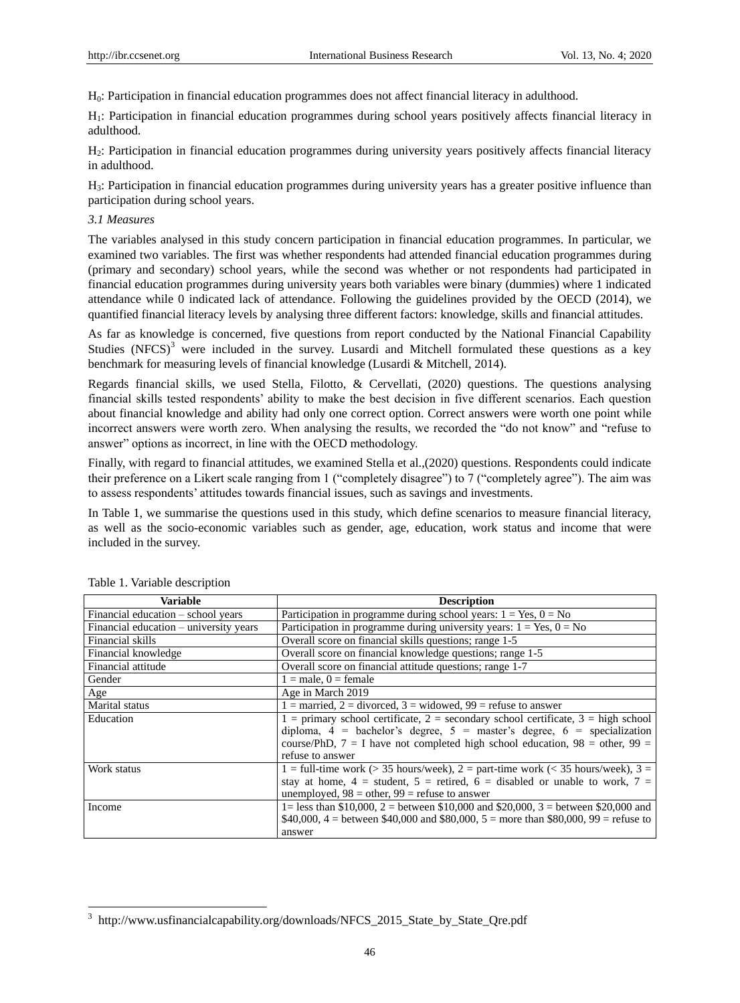H0: Participation in financial education programmes does not affect financial literacy in adulthood.

H1: Participation in financial education programmes during school years positively affects financial literacy in adulthood.

H2: Participation in financial education programmes during university years positively affects financial literacy in adulthood.

H3: Participation in financial education programmes during university years has a greater positive influence than participation during school years.

## *3.1 Measures*

The variables analysed in this study concern participation in financial education programmes. In particular, we examined two variables. The first was whether respondents had attended financial education programmes during (primary and secondary) school years, while the second was whether or not respondents had participated in financial education programmes during university years both variables were binary (dummies) where 1 indicated attendance while 0 indicated lack of attendance. Following the guidelines provided by the OECD (2014), we quantified financial literacy levels by analysing three different factors: knowledge, skills and financial attitudes.

As far as knowledge is concerned, five questions from report conducted by the National Financial Capability Studies  $(NFCS)^3$  were included in the survey. Lusardi and Mitchell formulated these questions as a key benchmark for measuring levels of financial knowledge (Lusardi & Mitchell, 2014).

Regards financial skills, we used Stella, Filotto, & Cervellati, (2020) questions. The questions analysing financial skills tested respondents' ability to make the best decision in five different scenarios. Each question about financial knowledge and ability had only one correct option. Correct answers were worth one point while incorrect answers were worth zero. When analysing the results, we recorded the "do not know" and "refuse to answer" options as incorrect, in line with the OECD methodology.

Finally, with regard to financial attitudes, we examined Stella et al.,(2020) questions. Respondents could indicate their preference on a Likert scale ranging from 1 ("completely disagree") to 7 ("completely agree"). The aim was to assess respondents' attitudes towards financial issues, such as savings and investments.

In Table 1, we summarise the questions used in this study, which define scenarios to measure financial literacy, as well as the socio-economic variables such as gender, age, education, work status and income that were included in the survey.

| <b>Variable</b>                        | <b>Description</b>                                                                      |
|----------------------------------------|-----------------------------------------------------------------------------------------|
| Financial education – school years     | Participation in programme during school years: $1 = Yes, 0 = No$                       |
| Financial education – university years | Participation in programme during university years: $1 = Yes, 0 = No$                   |
| Financial skills                       | Overall score on financial skills questions; range 1-5                                  |
| Financial knowledge                    | Overall score on financial knowledge questions; range 1-5                               |
| Financial attitude                     | Overall score on financial attitude questions; range 1-7                                |
| Gender                                 | $1 =$ male, $0 =$ female                                                                |
|                                        |                                                                                         |
| Age                                    | Age in March 2019                                                                       |
| Marital status                         | $1 =$ married, $2 =$ divorced, $3 =$ widowed, $99 =$ refuse to answer                   |
| Education                              | $1 =$ primary school certificate, $2 =$ secondary school certificate, $3 =$ high school |
|                                        | diploma, $4 =$ bachelor's degree, $5 =$ master's degree, $6 =$ specialization           |
|                                        | course/PhD, $7 = I$ have not completed high school education, $98 =$ other, $99 =$      |
|                                        | refuse to answer                                                                        |
| Work status                            | 1 = full-time work ( $>$ 35 hours/week), 2 = part-time work ( $<$ 35 hours/week), 3 =   |
|                                        | stay at home, $4 =$ student, $5 =$ retired, $6 =$ disabled or unable to work, $7 =$     |
|                                        | unemployed, $98$ = other, $99$ = refuse to answer                                       |
| Income                                 | 1= less than \$10,000, 2 = between \$10,000 and \$20,000, 3 = between \$20,000 and      |
|                                        | \$40,000, 4 = between \$40,000 and \$80,000, 5 = more than \$80,000, 99 = refuse to     |
|                                        | answer                                                                                  |

 3 [http://www.usfinancialcapability.org/downloads/NFCS\\_2015\\_State\\_by\\_State\\_Qre.pdf](http://www.usfinancialcapability.org/downloads/NFCS_2015_State_by_State_Qre.pdf)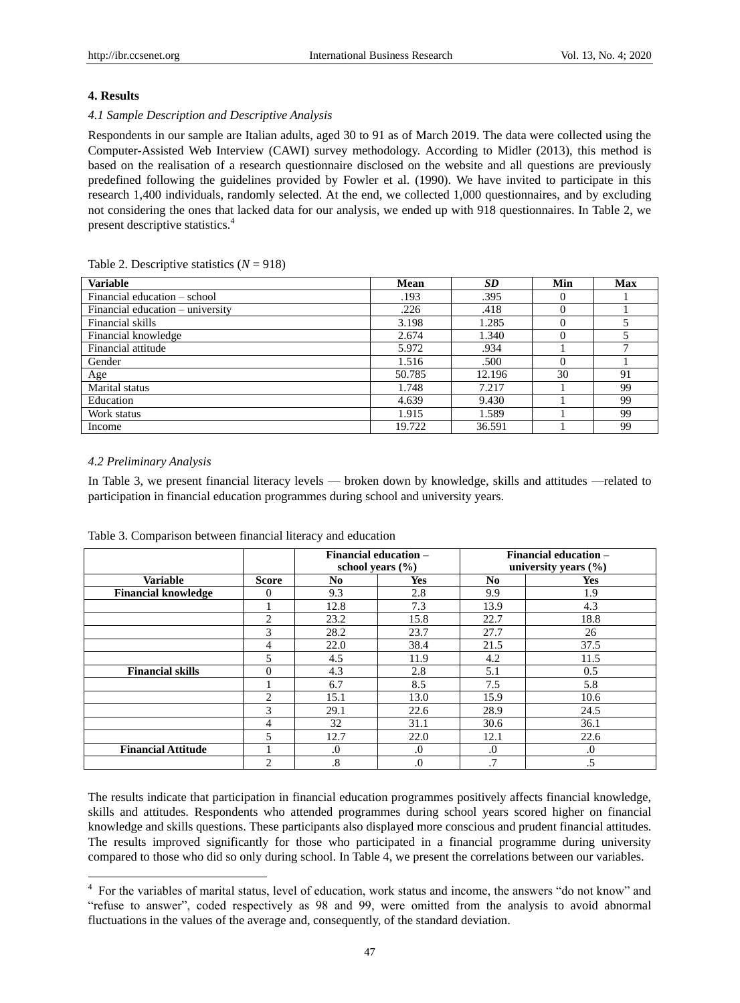## **4. Results**

## *4.1 Sample Description and Descriptive Analysis*

Respondents in our sample are Italian adults, aged 30 to 91 as of March 2019. The data were collected using the Computer-Assisted Web Interview (CAWI) survey methodology. According to Midler (2013), this method is based on the realisation of a research questionnaire disclosed on the website and all questions are previously predefined following the guidelines provided by Fowler et al. (1990). We have invited to participate in this research 1,400 individuals, randomly selected. At the end, we collected 1,000 questionnaires, and by excluding not considering the ones that lacked data for our analysis, we ended up with 918 questionnaires. In Table 2, we present descriptive statistics.<sup>4</sup>

## **Variable Mean** *SD* **Min Max** Financial education – school .193 .395 0 1 Financial education – university ...  $226$  ...  $418$  0 1 Financial skills 3.198 1.285 0 5 Financial knowledge 2.674 1.340 0 5 Financial attitude 5.972 .934 1 7 Gender 1.516 .500 0 1 Age 30 30 91 Marital status 1.748  $\begin{array}{|c|c|c|c|c|c|c|c|c|} \hline \end{array}$  1.748  $\begin{array}{|c|c|c|c|c|c|c|c|c|} \hline \end{array}$  1.7217  $\begin{array}{|c|c|c|c|c|c|c|c|c|} \hline \end{array}$  1.799 Education 1 99 Work status 1.915 1.589 1 99 Income 19.722  $36.591$  1 99

## Table 2. Descriptive statistics  $(N = 918)$

#### *4.2 Preliminary Analysis*

-

In Table 3, we present financial literacy levels — broken down by knowledge, skills and attitudes —related to participation in financial education programmes during school and university years.

|                            |                | <b>Financial education –</b><br>school vears $(\% )$ |            | <b>Financial education -</b><br>university years $(\% )$ |            |  |
|----------------------------|----------------|------------------------------------------------------|------------|----------------------------------------------------------|------------|--|
| <b>Variable</b>            | <b>Score</b>   | N <sub>0</sub>                                       | <b>Yes</b> | No.                                                      | <b>Yes</b> |  |
| <b>Financial knowledge</b> | 0              | 9.3                                                  | 2.8        | 9.9                                                      | 1.9        |  |
|                            |                | 12.8                                                 | 7.3        | 13.9                                                     | 4.3        |  |
|                            | 2              | 23.2                                                 | 15.8       | 22.7                                                     | 18.8       |  |
|                            | 3              | 28.2                                                 | 23.7       | 27.7                                                     | 26         |  |
|                            | 4              | 22.0                                                 | 38.4       | 21.5                                                     | 37.5       |  |
|                            | 5              | 4.5                                                  | 11.9       | 4.2                                                      | 11.5       |  |
| <b>Financial skills</b>    | $\Omega$       | 4.3                                                  | 2.8        | 5.1                                                      | 0.5        |  |
|                            |                | 6.7                                                  | 8.5        | 7.5                                                      | 5.8        |  |
|                            | $\overline{c}$ | 15.1                                                 | 13.0       | 15.9                                                     | 10.6       |  |
|                            | 3              | 29.1                                                 | 22.6       | 28.9                                                     | 24.5       |  |
|                            | 4              | 32                                                   | 31.1       | 30.6                                                     | 36.1       |  |
|                            | 5              | 12.7                                                 | 22.0       | 12.1                                                     | 22.6       |  |
| <b>Financial Attitude</b>  |                | $\Omega$ .                                           | $\Omega$   | $\Omega$                                                 | $\cdot$    |  |
|                            | $\overline{2}$ | $.8\,$                                               | $\cdot$    | .7                                                       | .5         |  |

Table 3. Comparison between financial literacy and education

The results indicate that participation in financial education programmes positively affects financial knowledge, skills and attitudes. Respondents who attended programmes during school years scored higher on financial knowledge and skills questions. These participants also displayed more conscious and prudent financial attitudes. The results improved significantly for those who participated in a financial programme during university compared to those who did so only during school. In Table 4, we present the correlations between our variables.

<sup>&</sup>lt;sup>4</sup> For the variables of marital status, level of education, work status and income, the answers "do not know" and ―refuse to answer‖, coded respectively as 98 and 99, were omitted from the analysis to avoid abnormal fluctuations in the values of the average and, consequently, of the standard deviation.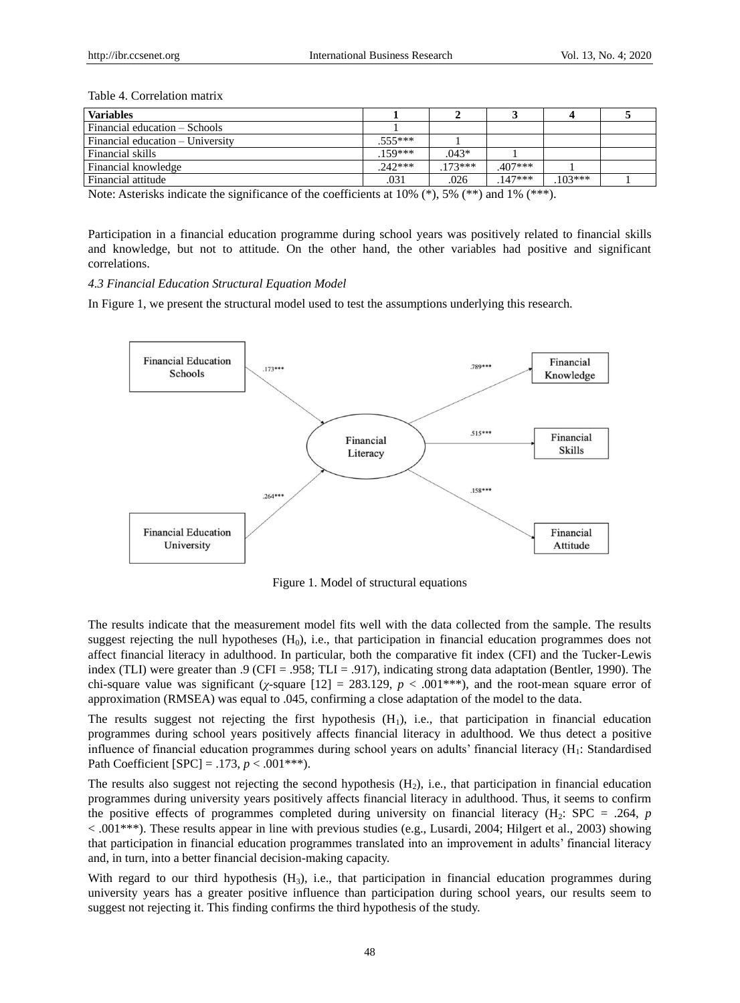## Table 4. Correlation matrix

| <b>Variables</b>                 |           |          |          |          |  |
|----------------------------------|-----------|----------|----------|----------|--|
| Financial education – Schools    |           |          |          |          |  |
| Financial education – University | $.555***$ |          |          |          |  |
| Financial skills                 | 159***    | $.043*$  |          |          |  |
| Financial knowledge              | $.242***$ | $173***$ | .407***  |          |  |
| Financial attitude               | .031      | .026     | $147***$ | $103***$ |  |

Note: Asterisks indicate the significance of the coefficients at 10%  $(*)$ , 5%  $(***)$  and 1%  $(***)$ .

Participation in a financial education programme during school years was positively related to financial skills and knowledge, but not to attitude. On the other hand, the other variables had positive and significant correlations.

#### *4.3 Financial Education Structural Equation Model*

In Figure 1, we present the structural model used to test the assumptions underlying this research.



Figure 1. Model of structural equations

The results indicate that the measurement model fits well with the data collected from the sample. The results suggest rejecting the null hypotheses  $(H_0)$ , i.e., that participation in financial education programmes does not affect financial literacy in adulthood. In particular, both the comparative fit index (CFI) and the Tucker-Lewis index (TLI) were greater than .9 (CFI = .958; TLI = .917), indicating strong data adaptation (Bentler, 1990). The chi-square value was significant ( $\chi$ -square [12] = 283.129,  $p < .001$ \*\*\*), and the root-mean square error of approximation (RMSEA) was equal to .045, confirming a close adaptation of the model to the data.

The results suggest not rejecting the first hypothesis  $(H_1)$ , i.e., that participation in financial education programmes during school years positively affects financial literacy in adulthood. We thus detect a positive influence of financial education programmes during school years on adults' financial literacy (H1: Standardised Path Coefficient  $[SPC] = .173$ ,  $p < .001***$ ).

The results also suggest not rejecting the second hypothesis  $(H<sub>2</sub>)$ , i.e., that participation in financial education programmes during university years positively affects financial literacy in adulthood. Thus, it seems to confirm the positive effects of programmes completed during university on financial literacy  $(H_2:$  SPC = .264, *p* < .001\*\*\*). These results appear in line with previous studies (e.g., Lusardi, 2004; Hilgert et al., 2003) showing that participation in financial education programmes translated into an improvement in adults' financial literacy and, in turn, into a better financial decision-making capacity.

With regard to our third hypothesis (H<sub>3</sub>), i.e., that participation in financial education programmes during university years has a greater positive influence than participation during school years, our results seem to suggest not rejecting it. This finding confirms the third hypothesis of the study.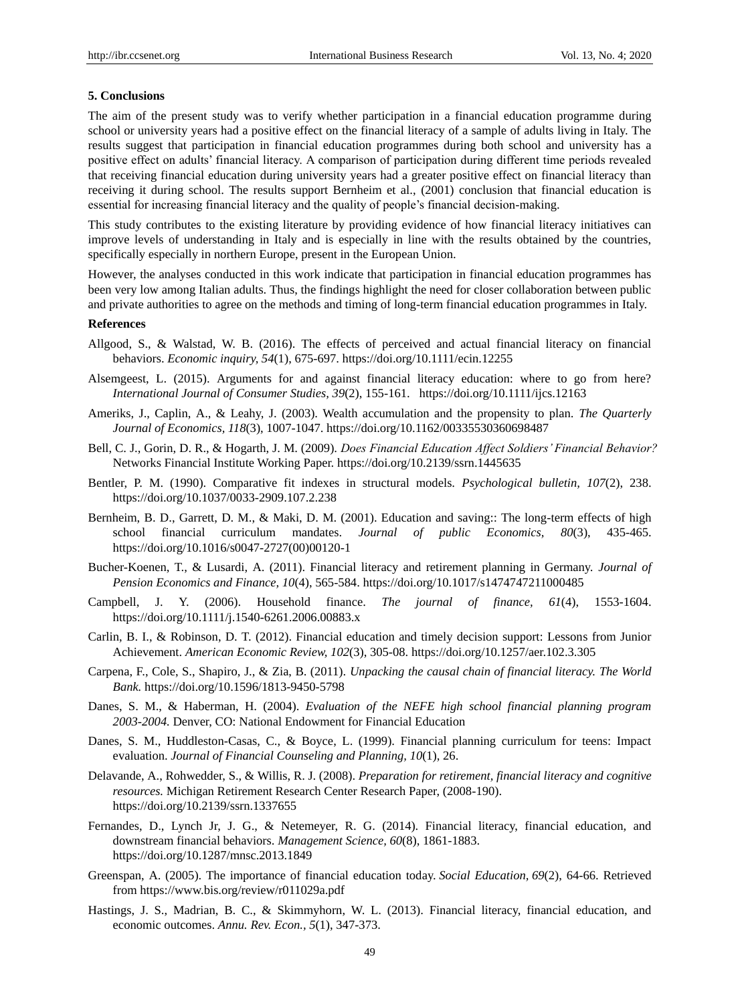## **5. Conclusions**

The aim of the present study was to verify whether participation in a financial education programme during school or university years had a positive effect on the financial literacy of a sample of adults living in Italy. The results suggest that participation in financial education programmes during both school and university has a positive effect on adults' financial literacy. A comparison of participation during different time periods revealed that receiving financial education during university years had a greater positive effect on financial literacy than receiving it during school. The results support Bernheim et al., (2001) conclusion that financial education is essential for increasing financial literacy and the quality of people's financial decision-making.

This study contributes to the existing literature by providing evidence of how financial literacy initiatives can improve levels of understanding in Italy and is especially in line with the results obtained by the countries, specifically especially in northern Europe, present in the European Union.

However, the analyses conducted in this work indicate that participation in financial education programmes has been very low among Italian adults. Thus, the findings highlight the need for closer collaboration between public and private authorities to agree on the methods and timing of long-term financial education programmes in Italy.

## **References**

- Allgood, S., & Walstad, W. B. (2016). The effects of perceived and actual financial literacy on financial behaviors. *Economic inquiry, 54*(1), 675-697. https://doi.org/10.1111/ecin.12255
- Alsemgeest, L. (2015). Arguments for and against financial literacy education: where to go from here? *International Journal of Consumer Studies, 39*(2), 155-161. <https://doi.org/10.1111/ijcs.12163>
- Ameriks, J., Caplin, A., & Leahy, J. (2003). Wealth accumulation and the propensity to plan. *The Quarterly Journal of Economics, 118*(3), 1007-1047. [https://doi.org/10.1162/00335530360698487](https://doi.org/10.1162/00335530360698487 )
- Bell, C. J., Gorin, D. R., & Hogarth, J. M. (2009). *Does Financial Education Affect Soldiers' Financial Behavior?* Networks Financial Institute Working Paper[. https://doi.org/10.2139/ssrn.1445635](https://doi.org/10.2139/ssrn.1445635 )
- Bentler, P. M. (1990). Comparative fit indexes in structural models. *Psychological bulletin, 107*(2), 238. <https://doi.org/10.1037/0033-2909.107.2.238>
- Bernheim, B. D., Garrett, D. M., & Maki, D. M. (2001). Education and saving:: The long-term effects of high school financial curriculum mandates. *Journal of public Economics, 80*(3), 435-465. [https://doi.org/10.1016/s0047-2727\(00\)00120-1](https://doi.org/10.1016/s0047-2727(00)00120-1 )
- Bucher-Koenen, T., & Lusardi, A. (2011). Financial literacy and retirement planning in Germany. *Journal of Pension Economics and Finance, 10*(4), 565-584. https://doi.org/10.1017/s1474747211000485
- Campbell, J. Y. (2006). Household finance. *The journal of finance, 61*(4), 1553-1604. <https://doi.org/10.1111/j.1540-6261.2006.00883.x>
- Carlin, B. I., & Robinson, D. T. (2012). Financial education and timely decision support: Lessons from Junior Achievement. *American Economic Review, 102*(3), 305-08.<https://doi.org/10.1257/aer.102.3.305>
- Carpena, F., Cole, S., Shapiro, J., & Zia, B. (2011). *Unpacking the causal chain of financial literacy. The World Bank.* <https://doi.org/10.1596/1813-9450-5798>
- Danes, S. M., & Haberman, H. (2004). *Evaluation of the NEFE high school financial planning program 2003-2004.* Denver, CO: National Endowment for Financial Education
- Danes, S. M., Huddleston-Casas, C., & Boyce, L. (1999). Financial planning curriculum for teens: Impact evaluation. *Journal of Financial Counseling and Planning, 10*(1), 26.
- Delavande, A., Rohwedder, S., & Willis, R. J. (2008). *Preparation for retirement, financial literacy and cognitive resources.* Michigan Retirement Research Center Research Paper, (2008-190). [https://doi.org/10.2139/ssrn.1337655](https://doi.org/10.2139/ssrn.1337655 )
- Fernandes, D., Lynch Jr, J. G., & Netemeyer, R. G. (2014). Financial literacy, financial education, and downstream financial behaviors. *Management Science, 60*(8), 1861-1883. https://doi.org/10.1287/mnsc.2013.1849
- Greenspan, A. (2005). The importance of financial education today. *Social Education, 69*(2), 64-66. Retrieved from<https://www.bis.org/review/r011029a.pdf>
- Hastings, J. S., Madrian, B. C., & Skimmyhorn, W. L. (2013). Financial literacy, financial education, and economic outcomes. *Annu. Rev. Econ., 5*(1), 347-373.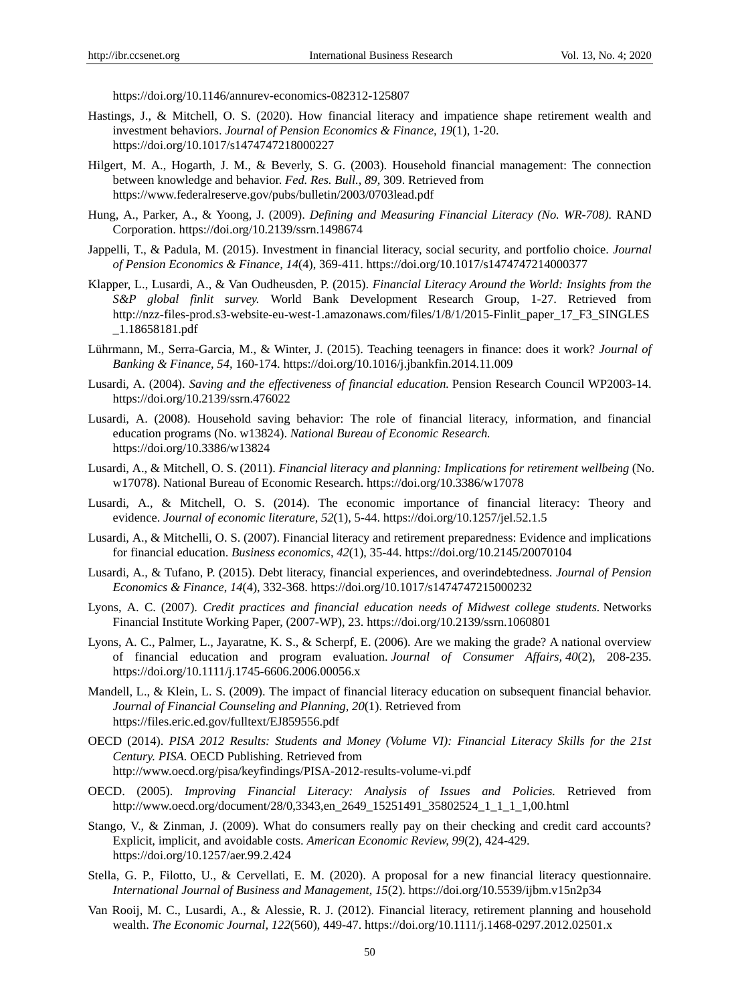https://doi.org/10.1146/annurev-economics-082312-125807

- Hastings, J., & Mitchell, O. S. (2020). How financial literacy and impatience shape retirement wealth and investment behaviors. *Journal of Pension Economics & Finance, 19*(1), 1-20. <https://doi.org/10.1017/s1474747218000227>
- Hilgert, M. A., Hogarth, J. M., & Beverly, S. G. (2003). Household financial management: The connection between knowledge and behavior. *Fed. Res. Bull., 89,* 309. Retrieved from <https://www.federalreserve.gov/pubs/bulletin/2003/0703lead.pdf>
- Hung, A., Parker, A., & Yoong, J. (2009). *Defining and Measuring Financial Literacy (No. WR-708)*. RAND Corporation. https://doi.org/10.2139/ssrn.1498674
- Jappelli, T., & Padula, M. (2015). Investment in financial literacy, social security, and portfolio choice. *Journal of Pension Economics & Finance, 14*(4), 369-411.<https://doi.org/10.1017/s1474747214000377>
- Klapper, L., Lusardi, A., & Van Oudheusden, P. (2015). *Financial Literacy Around the World: Insights from the S&P global finlit survey.* World Bank Development Research Group, 1-27. Retrieved from http://nzz-files-prod.s3-website-eu-west-1.amazonaws.com/files/1/8/1/2015-Finlit\_paper\_17\_F3\_SINGLES \_1.18658181.pdf
- Lührmann, M., Serra-Garcia, M., & Winter, J. (2015). Teaching teenagers in finance: does it work? *Journal of Banking & Finance, 54,* 160-174.<https://doi.org/10.1016/j.jbankfin.2014.11.009>
- Lusardi, A. (2004). *Saving and the effectiveness of financial education.* Pension Research Council WP2003-14. <https://doi.org/10.2139/ssrn.476022>
- Lusardi, A. (2008). Household saving behavior: The role of financial literacy, information, and financial education programs (No. w13824). *National Bureau of Economic Research.*  <https://doi.org/10.3386/w13824>
- Lusardi, A., & Mitchell, O. S. (2011). *Financial literacy and planning: Implications for retirement wellbeing* (No. w17078). National Bureau of Economic Research. https://doi.org/10.3386/w17078
- Lusardi, A., & Mitchell, O. S. (2014). The economic importance of financial literacy: Theory and evidence. *Journal of economic literature*, *52*(1), 5-44. https://doi.org/10.1257/jel.52.1.5
- Lusardi, A., & Mitchelli, O. S. (2007). Financial literacy and retirement preparedness: Evidence and implications for financial education. *Business economics*, *42*(1), 35-44. https://doi.org/10.2145/20070104
- Lusardi, A., & Tufano, P. (2015). Debt literacy, financial experiences, and overindebtedness. *Journal of Pension Economics & Finance*, *14*(4), 332-368. https://doi.org/10.1017/s1474747215000232
- Lyons, A. C. (2007). *Credit practices and financial education needs of Midwest college students.* Networks Financial Institute Working Paper, (2007-WP), 23.<https://doi.org/10.2139/ssrn.1060801>
- Lyons, A. C., Palmer, L., Jayaratne, K. S., & Scherpf, E. (2006). Are we making the grade? A national overview of financial education and program evaluation. *Journal of Consumer Affairs, 40*(2), 208-235. <https://doi.org/10.1111/j.1745-6606.2006.00056.x>
- Mandell, L., & Klein, L. S. (2009). The impact of financial literacy education on subsequent financial behavior. *Journal of Financial Counseling and Planning, 20*(1). Retrieved from <https://files.eric.ed.gov/fulltext/EJ859556.pdf>
- OECD (2014). *PISA 2012 Results: Students and Money (Volume VI): Financial Literacy Skills for the 21st Century. PISA.* OECD Publishing. Retrieved from <http://www.oecd.org/pisa/keyfindings/PISA-2012-results-volume-vi.pdf>
- OECD. (2005). *Improving Financial Literacy: Analysis of Issues and Policies.* Retrieved from [http://www.oecd.org/document/28/0,3343,en\\_2649\\_15251491\\_35802524\\_1\\_1\\_1\\_1,00.html](http://www.oecd.org/document/28/0,3343,en_2649_15251491_35802524_1_1_1_1,00.html)
- Stango, V., & Zinman, J. (2009). What do consumers really pay on their checking and credit card accounts? Explicit, implicit, and avoidable costs. *American Economic Review, 99*(2), 424-429. <https://doi.org/10.1257/aer.99.2.424>
- Stella, G. P., Filotto, U., & Cervellati, E. M. (2020). A proposal for a new financial literacy questionnaire. *International Journal of Business and Management, 15*(2). <https://doi.org/10.5539/ijbm.v15n2p34>
- Van Rooij, M. C., Lusardi, A., & Alessie, R. J. (2012). Financial literacy, retirement planning and household wealth. *The Economic Journal, 122*(560), 449-47. https://doi.org/10.1111/j.1468-0297.2012.02501.x